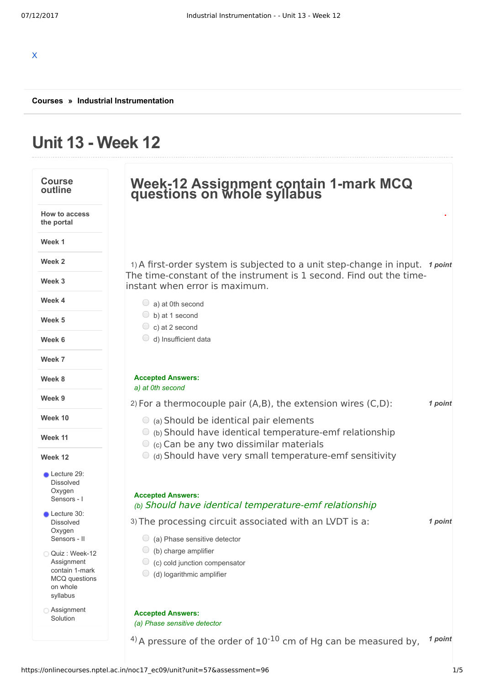# **Unit 13 - Week 12**

| <b>Course</b><br>outline                                                               | Week-12 Assignment contain 1-mark MCQ<br>questions on whole syllabus                                              |         |
|----------------------------------------------------------------------------------------|-------------------------------------------------------------------------------------------------------------------|---------|
| <b>How to access</b><br>the portal                                                     |                                                                                                                   |         |
| Week 1                                                                                 |                                                                                                                   |         |
| Week 2                                                                                 | 1) A first-order system is subjected to a unit step-change in input.                                              | 1 point |
| Week 3                                                                                 | The time-constant of the instrument is 1 second. Find out the time-<br>instant when error is maximum.             |         |
| Week 4                                                                                 | $\cup$<br>a) at 0th second                                                                                        |         |
| Week 5                                                                                 | $\bigcirc$ b) at 1 second<br>$\circ$ c) at 2 second                                                               |         |
| Week 6                                                                                 | d) Insufficient data                                                                                              |         |
| Week 7                                                                                 |                                                                                                                   |         |
| Week 8                                                                                 | <b>Accepted Answers:</b><br>a) at 0th second                                                                      |         |
| Week 9                                                                                 | 2) For a thermocouple pair $(A,B)$ , the extension wires $(C,D)$ :                                                | 1 point |
| Week 10                                                                                | $\circ$ (a) Should be identical pair elements                                                                     |         |
| Week 11                                                                                | $\circ$ (b) Should have identical temperature-emf relationship<br>$\circ$ (c) Can be any two dissimilar materials |         |
| Week 12                                                                                | (d) Should have very small temperature-emf sensitivity                                                            |         |
| Lecture 29:<br><b>Dissolved</b><br>Oxygen<br>Sensors - I                               | <b>Accepted Answers:</b>                                                                                          |         |
| Lecture 30:                                                                            | (b) Should have identical temperature-emf relationship                                                            |         |
| <b>Dissolved</b><br>Oxygen                                                             | 3) The processing circuit associated with an LVDT is a:                                                           | 1 point |
| Sensors - II                                                                           | $\bigcirc$ (a) Phase sensitive detector<br>(b) charge amplifier<br>$\cup$                                         |         |
| Quiz: Week-12<br>Assignment<br>contain 1-mark<br>MCQ questions<br>on whole<br>syllabus | $\circ$ (c) cold junction compensator<br>(d) logarithmic amplifier<br>$\cup$                                      |         |
| <b>Assignment</b><br>Solution                                                          | <b>Accepted Answers:</b><br>(a) Phase sensitive detector                                                          |         |
|                                                                                        | <sup>4)</sup> A pressure of the order of $10^{-10}$ cm of Hg can be measured by,                                  | 1 point |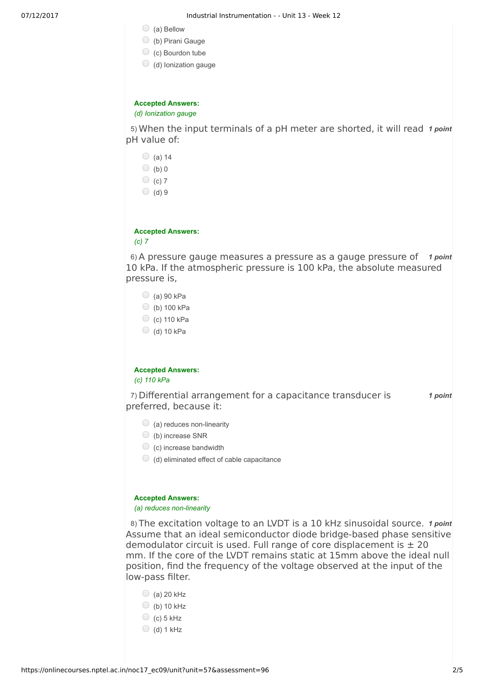- $\bigcirc$  (a) Bellow
- (b) Pirani Gauge
- $\bigcirc$  (c) Bourdon tube
- $\bigcirc$  (d) lonization gauge

# **Accepted Answers:**

*(d) Ionization gauge*

5) When the input terminals of a pH meter are shorted, it will read 1 point pH value of:

|                          | $(a)$ 14 |  |  |
|--------------------------|----------|--|--|
| $\bigcirc$               | (b)0     |  |  |
| O                        | $(c)$ 7  |  |  |
| $\cup$                   | (d)9     |  |  |
|                          |          |  |  |
|                          |          |  |  |
| <b>Accepted Answers:</b> |          |  |  |
| (c) 7                    |          |  |  |

6) A pressure gauge measures a pressure as a gauge pressure of 1 point 10 kPa. If the atmospheric pressure is 100 kPa, the absolute measured pressure is,

- $\bigcirc$  (a) 90 kPa
- $\bigcirc$  (b) 100 kPa
- $\circ$  (c) 110 kPa
- $\bigcirc$  (d) 10 kPa

# **Accepted Answers:**

*(c) 110 kPa*

7) *1 point* Differential arrangement for a capacitance transducer is preferred, because it:

- $\bigcirc$  (a) reduces non-linearity
- (b) increase SNR
- $\bigcirc$  (c) increase bandwidth
- $\bigcirc$  (d) eliminated effect of cable capacitance

#### **Accepted Answers:**

#### *(a) reduces non-linearity*

8) The excitation voltage to an LVDT is a 10 kHz sinusoidal source. 1 point Assume that an ideal semiconductor diode bridge-based phase sensitive demodulator circuit is used. Full range of core displacement is  $\pm 20$ mm. If the core of the LVDT remains static at 15mm above the ideal null position, find the frequency of the voltage observed at the input of the low-pass filter.

- $\bigcirc$  (a) 20 kHz
- $\bigcirc$  (b) 10 kHz
- $\bigcirc$  (c) 5 kHz
- $\bigcirc$  (d) 1 kHz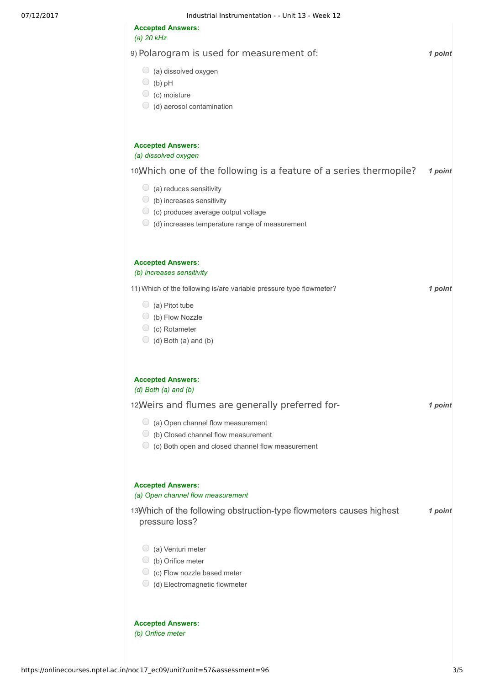| <b>Accepted Answers:</b><br>(a) $20$ kHz                                                                                                                                                                                                                      |         |
|---------------------------------------------------------------------------------------------------------------------------------------------------------------------------------------------------------------------------------------------------------------|---------|
| 9) Polarogram is used for measurement of:                                                                                                                                                                                                                     | 1 point |
| $\bigcirc$ (a) dissolved oxygen<br>(b) $pH$<br>$\circ$ (c) moisture<br>$\bigcirc$ (d) aerosol contamination                                                                                                                                                   |         |
| <b>Accepted Answers:</b><br>(a) dissolved oxygen                                                                                                                                                                                                              |         |
| 10) Which one of the following is a feature of a series thermopile?<br>$\bigcirc$ (a) reduces sensitivity<br>$\bigcirc$ (b) increases sensitivity<br>$\circ$ (c) produces average output voltage<br>$\bigcirc$ (d) increases temperature range of measurement | 1 point |
| <b>Accepted Answers:</b><br>(b) increases sensitivity                                                                                                                                                                                                         |         |
| 11) Which of the following is/are variable pressure type flowmeter?<br>$\bigcirc$ (a) Pitot tube<br>$\bigcirc$ (b) Flow Nozzle<br>$\circ$ (c) Rotameter<br>$\bigcirc$ (d) Both (a) and (b)                                                                    | 1 point |
| <b>Accepted Answers:</b><br>$(d)$ Both $(a)$ and $(b)$                                                                                                                                                                                                        |         |
| 12) Weirs and flumes are generally preferred for-                                                                                                                                                                                                             | 1 point |
| $\bigcirc$ (a) Open channel flow measurement<br>(b) Closed channel flow measurement<br>$\circ$ (c) Both open and closed channel flow measurement                                                                                                              |         |
| <b>Accepted Answers:</b><br>(a) Open channel flow measurement                                                                                                                                                                                                 |         |
| 13) Which of the following obstruction-type flowmeters causes highest<br>pressure loss?                                                                                                                                                                       | 1 point |
| $\bigcirc$ (a) Venturi meter<br>$\bigcirc$ (b) Orifice meter<br>$\bigcirc$ (c) Flow nozzle based meter<br>$\bigcirc$ (d) Electromagnetic flowmeter                                                                                                            |         |
| <b>Accepted Answers:</b><br>(b) Orifice meter                                                                                                                                                                                                                 |         |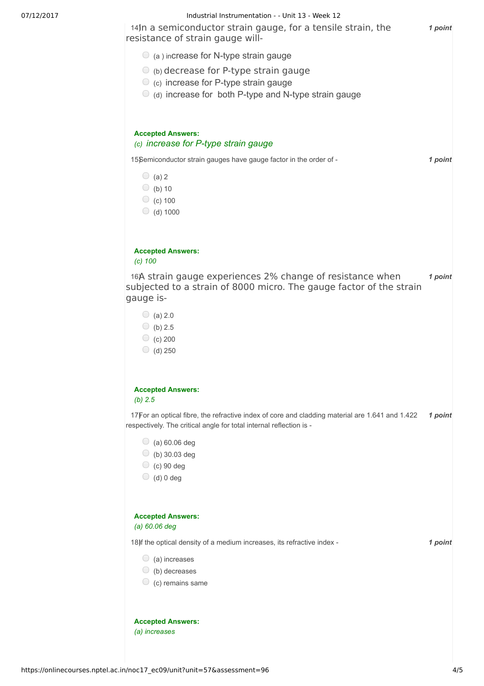

**Accepted Answers:** *(a) increases*